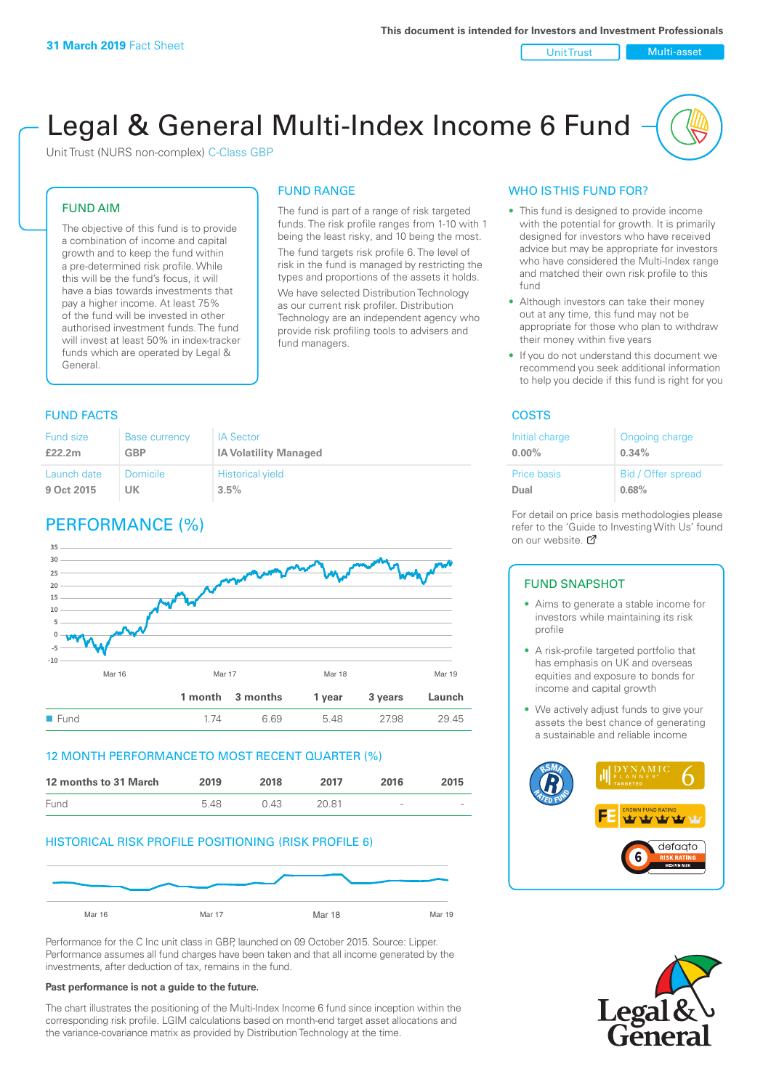Unit Trust Nulti-asset

# Legal & General Multi-Index Income 6 Fund

Unit Trust (NURS non-complex) C-Class GBP

#### FUND AIM

The objective of this fund is to provide a combination of income and capital growth and to keep the fund within a pre-determined risk profile. While this will be the fund's focus, it will have a bias towards investments that pay a higher income. At least 75% of the fund will be invested in other authorised investment funds. The fund will invest at least 50% in index-tracker funds which are operated by Legal & General.

### FUND RANGE The fund is part of a range of risk targeted

funds. The risk profile ranges from 1-10 with 1 being the least risky, and 10 being the most. The fund targets risk profile 6. The level of risk in the fund is managed by restricting the

types and proportions of the assets it holds. We have selected Distribution Technology as our current risk profiler. Distribution Technology are an independent agency who provide risk profiling tools to advisers and fund managers.

#### **FUND FACTS** COSTS

| Fund size   | <b>Base currency</b> | <b>IA Sector</b>             |
|-------------|----------------------|------------------------------|
| £22.2m      | <b>GBP</b>           | <b>IA Volatility Managed</b> |
| Launch date | Domicile             | <b>Historical yield</b>      |
| 9 Oct 2015  | UK                   | 3.5%                         |

# PERFORMANCE (%)



#### 12 MONTH PERFORMANCE TO MOST RECENT QUARTER (%)



#### HISTORICAL RISK PROFILE POSITIONING (RISK PROFILE 6)



Performance for the C Inc unit class in GBP, launched on 09 October 2015. Source: Lipper. Performance assumes all fund charges have been taken and that all income generated by the investments, after deduction of tax, remains in the fund.

#### **Past performance is not a guide to the future.**

The chart illustrates the positioning of the Multi-Index Income 6 fund since inception within the corresponding risk profile. LGIM calculations based on month-end target asset allocations and the variance-covariance matrix as provided by Distribution Technology at the time.

#### WHO IS THIS FUND FOR?

- This fund is designed to provide income with the potential for growth. It is primarily designed for investors who have received advice but may be appropriate for investors who have considered the Multi-Index range and matched their own risk profile to this fund
- Although investors can take their money out at any time, this fund may not be appropriate for those who plan to withdraw their money within five years
- If you do not understand this document we recommend you seek additional information to help you decide if this fund is right for you

| Initial charge | Ongoing charge     |
|----------------|--------------------|
| $0.00\%$       | 0.34%              |
| Price basis    | Bid / Offer spread |
| Dual           | 0.68%              |

For detail on price basis methodologies please refer to the 'Gu[ide t](http://www.legalandgeneral.com/guide)o Investing With Us' found on our website. Ø

#### FUND SNAPSHOT

- Aims to generate a stable income for investors while maintaining its risk profile
- A risk-profile targeted portfolio that has emphasis on UK and overseas equities and exposure to bonds for income and capital growth
- We actively adjust funds to give your assets the best chance of generating a sustainable and reliable income



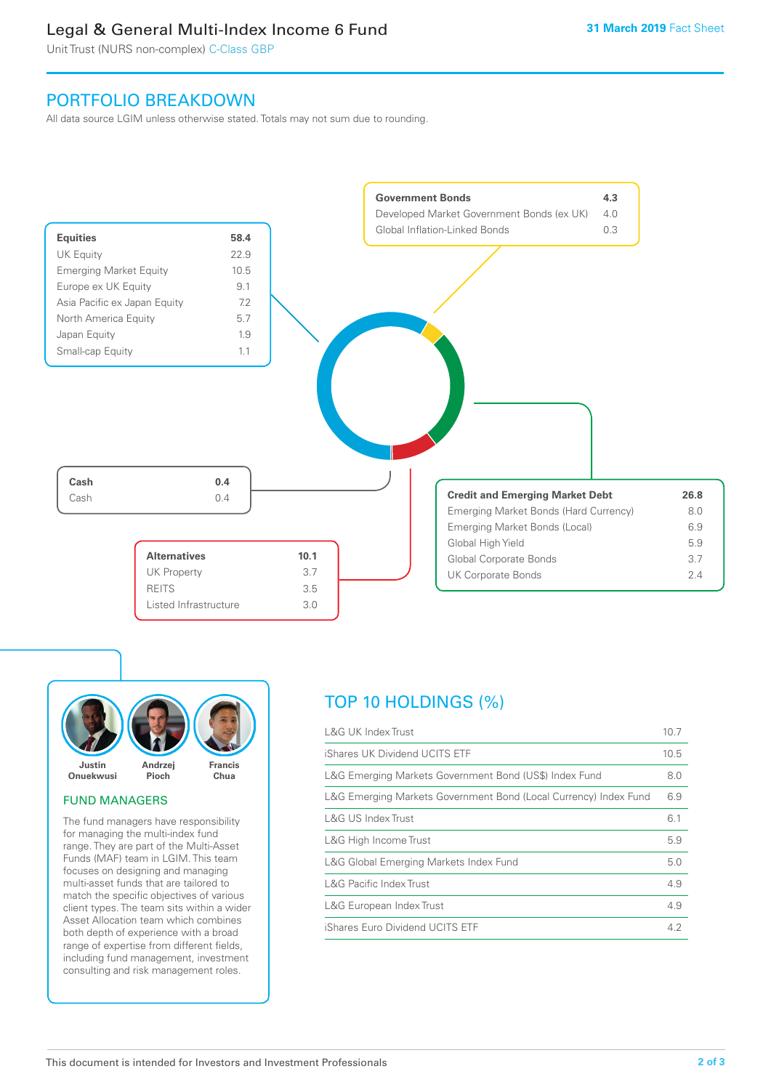# Legal & General Multi-Index Income 6 Fund

Unit Trust (NURS non-complex) C-Class GBP

## PORTFOLIO BREAKDOWN

All data source LGIM unless otherwise stated. Totals may not sum due to rounding.





#### FUND MANAGERS

The fund managers have responsibility for managing the multi-index fund range. They are part of the Multi-Asset Funds (MAF) team in LGIM. This team focuses on designing and managing multi-asset funds that are tailored to match the specific objectives of various client types. The team sits within a wider Asset Allocation team which combines both depth of experience with a broad range of expertise from different fields, including fund management, investment consulting and risk management roles.

# TOP 10 HOLDINGS (%)

| <b>L&amp;G UK Index Trust</b>                                    | 10.7 |
|------------------------------------------------------------------|------|
| iShares UK Dividend UCITS ETF                                    | 10.5 |
| L&G Emerging Markets Government Bond (US\$) Index Fund           | 8.0  |
| L&G Emerging Markets Government Bond (Local Currency) Index Fund | 6.9  |
| <b>L&amp;G US Index Trust</b>                                    | 6.1  |
| L&G High Income Trust                                            | 5.9  |
| L&G Global Emerging Markets Index Fund                           | 5.0  |
| <b>L&amp;G Pacific Index Trust</b>                               | 4.9  |
| L&G European Index Trust                                         | 4.9  |
| iShares Euro Dividend UCITS ETF                                  | 4.2  |